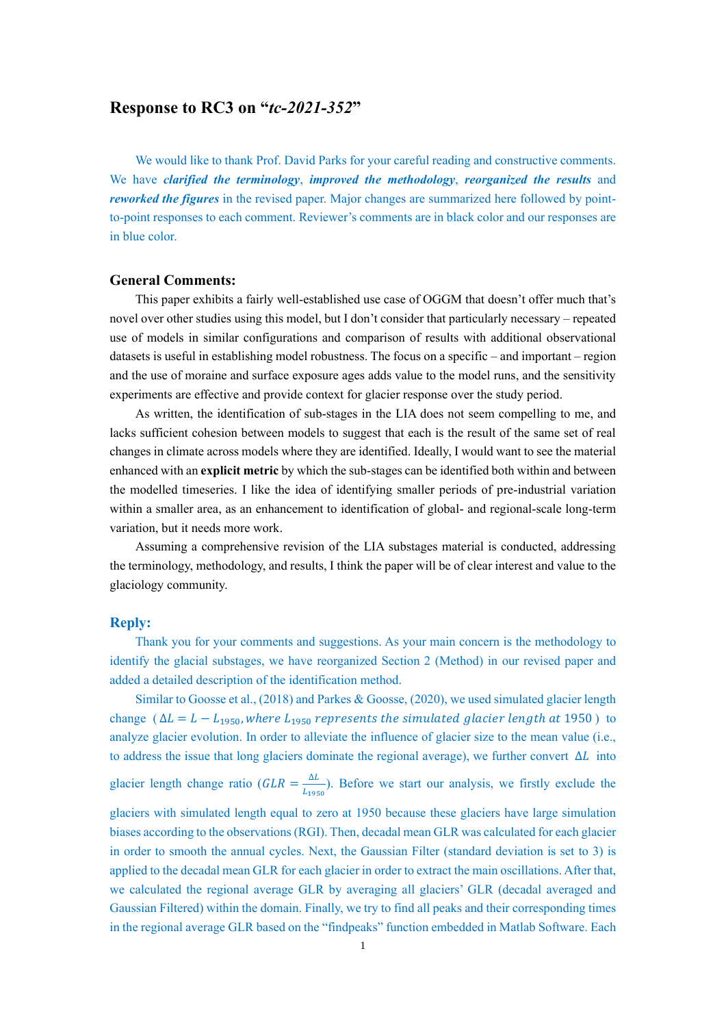# **Response to RC3 on "***tc-2021-352***"**

We would like to thank Prof. David Parks for your careful reading and constructive comments. We have *clarified the terminology*, *improved the methodology*, *reorganized the results* and *reworked the figures* in the revised paper. Major changes are summarized here followed by pointto-point responses to each comment. Reviewer's comments are in black color and our responses are in blue color.

## **General Comments:**

This paper exhibits a fairly well-established use case of OGGM that doesn't offer much that's novel over other studies using this model, but I don't consider that particularly necessary – repeated use of models in similar configurations and comparison of results with additional observational datasets is useful in establishing model robustness. The focus on a specific – and important – region and the use of moraine and surface exposure ages adds value to the model runs, and the sensitivity experiments are effective and provide context for glacier response over the study period.

As written, the identification of sub-stages in the LIA does not seem compelling to me, and lacks sufficient cohesion between models to suggest that each is the result of the same set of real changes in climate across models where they are identified. Ideally, I would want to see the material enhanced with an **explicit metric** by which the sub-stages can be identified both within and between the modelled timeseries. I like the idea of identifying smaller periods of pre-industrial variation within a smaller area, as an enhancement to identification of global- and regional-scale long-term variation, but it needs more work.

Assuming a comprehensive revision of the LIA substages material is conducted, addressing the terminology, methodology, and results, I think the paper will be of clear interest and value to the glaciology community.

### **Reply:**

Thank you for your comments and suggestions. As your main concern is the methodology to identify the glacial substages, we have reorganized Section 2 (Method) in our revised paper and added a detailed description of the identification method.

Similar to Goosse et al., (2018) and Parkes & Goosse, (2020), we used simulated glacier length change ( $\Delta L = L - L_{1950}$ , where  $L_{1950}$  represents the simulated glacier length at 1950) to analyze glacier evolution. In order to alleviate the influence of glacier size to the mean value (i.e., to address the issue that long glaciers dominate the regional average), we further convert  $\Delta L$  into glacier length change ratio ( $GLR = \frac{\Delta L}{l}$  $\frac{\Delta L}{L_{1950}}$ ). Before we start our analysis, we firstly exclude the glaciers with simulated length equal to zero at 1950 because these glaciers have large simulation biases according to the observations (RGI). Then, decadal mean GLR was calculated for each glacier in order to smooth the annual cycles. Next, the Gaussian Filter (standard deviation is set to 3) is applied to the decadal mean GLR for each glacier in order to extract the main oscillations. After that, we calculated the regional average GLR by averaging all glaciers' GLR (decadal averaged and Gaussian Filtered) within the domain. Finally, we try to find all peaks and their corresponding times in the regional average GLR based on the "findpeaks" function embedded in Matlab Software. Each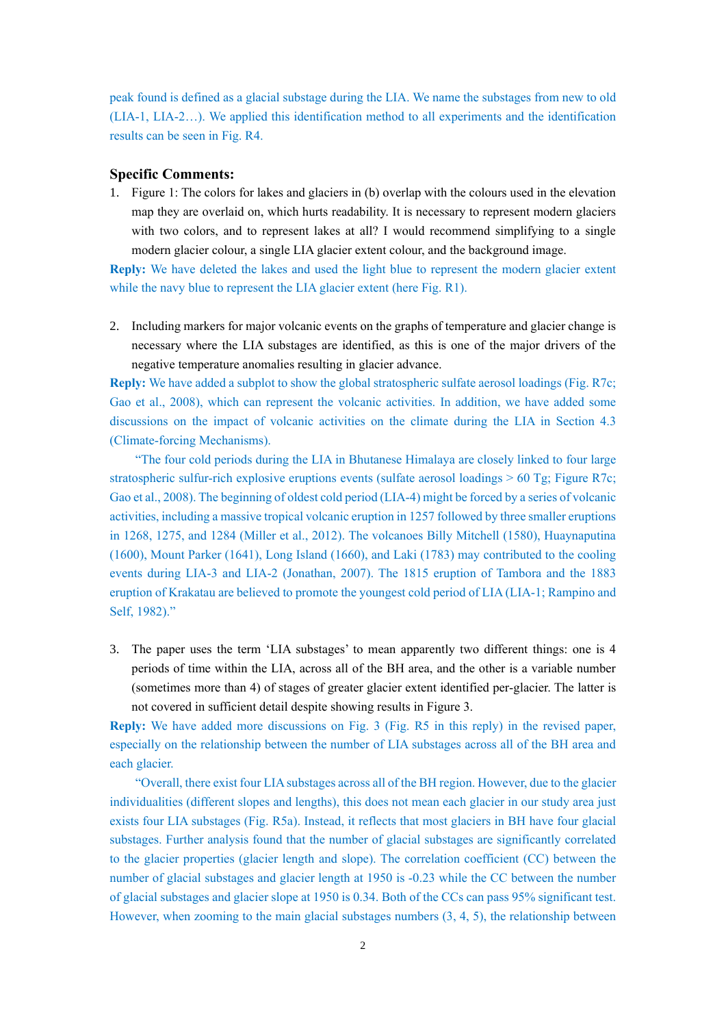peak found is defined as a glacial substage during the LIA. We name the substages from new to old (LIA-1, LIA-2…). We applied this identification method to all experiments and the identification results can be seen in Fig. R4.

#### **Specific Comments:**

1. Figure 1: The colors for lakes and glaciers in (b) overlap with the colours used in the elevation map they are overlaid on, which hurts readability. It is necessary to represent modern glaciers with two colors, and to represent lakes at all? I would recommend simplifying to a single modern glacier colour, a single LIA glacier extent colour, and the background image.

**Reply:** We have deleted the lakes and used the light blue to represent the modern glacier extent while the navy blue to represent the LIA glacier extent (here Fig. R1).

2. Including markers for major volcanic events on the graphs of temperature and glacier change is necessary where the LIA substages are identified, as this is one of the major drivers of the negative temperature anomalies resulting in glacier advance.

**Reply:** We have added a subplot to show the global stratospheric sulfate aerosol loadings (Fig. R7c; Gao et al., 2008), which can represent the volcanic activities. In addition, we have added some discussions on the impact of volcanic activities on the climate during the LIA in Section 4.3 (Climate-forcing Mechanisms).

"The four cold periods during the LIA in Bhutanese Himalaya are closely linked to four large stratospheric sulfur-rich explosive eruptions events (sulfate aerosol loadings > 60 Tg; Figure R7c; Gao et al., 2008). The beginning of oldest cold period (LIA-4) might be forced by a series of volcanic activities, including a massive tropical volcanic eruption in 1257 followed by three smaller eruptions in 1268, 1275, and 1284 (Miller et al., 2012). The volcanoes Billy Mitchell (1580), Huaynaputina (1600), Mount Parker (1641), Long Island (1660), and Laki (1783) may contributed to the cooling events during LIA-3 and LIA-2 (Jonathan, 2007). The 1815 eruption of Tambora and the 1883 eruption of Krakatau are believed to promote the youngest cold period of LIA (LIA-1; Rampino and Self, 1982)."

3. The paper uses the term 'LIA substages' to mean apparently two different things: one is 4 periods of time within the LIA, across all of the BH area, and the other is a variable number (sometimes more than 4) of stages of greater glacier extent identified per-glacier. The latter is not covered in sufficient detail despite showing results in Figure 3.

**Reply:** We have added more discussions on Fig. 3 (Fig. R5 in this reply) in the revised paper, especially on the relationship between the number of LIA substages across all of the BH area and each glacier.

"Overall, there exist four LIA substages across all of the BH region. However, due to the glacier individualities (different slopes and lengths), this does not mean each glacier in our study area just exists four LIA substages (Fig. R5a). Instead, it reflects that most glaciers in BH have four glacial substages. Further analysis found that the number of glacial substages are significantly correlated to the glacier properties (glacier length and slope). The correlation coefficient (CC) between the number of glacial substages and glacier length at 1950 is -0.23 while the CC between the number of glacial substages and glacier slope at 1950 is 0.34. Both of the CCs can pass 95% significant test. However, when zooming to the main glacial substages numbers (3, 4, 5), the relationship between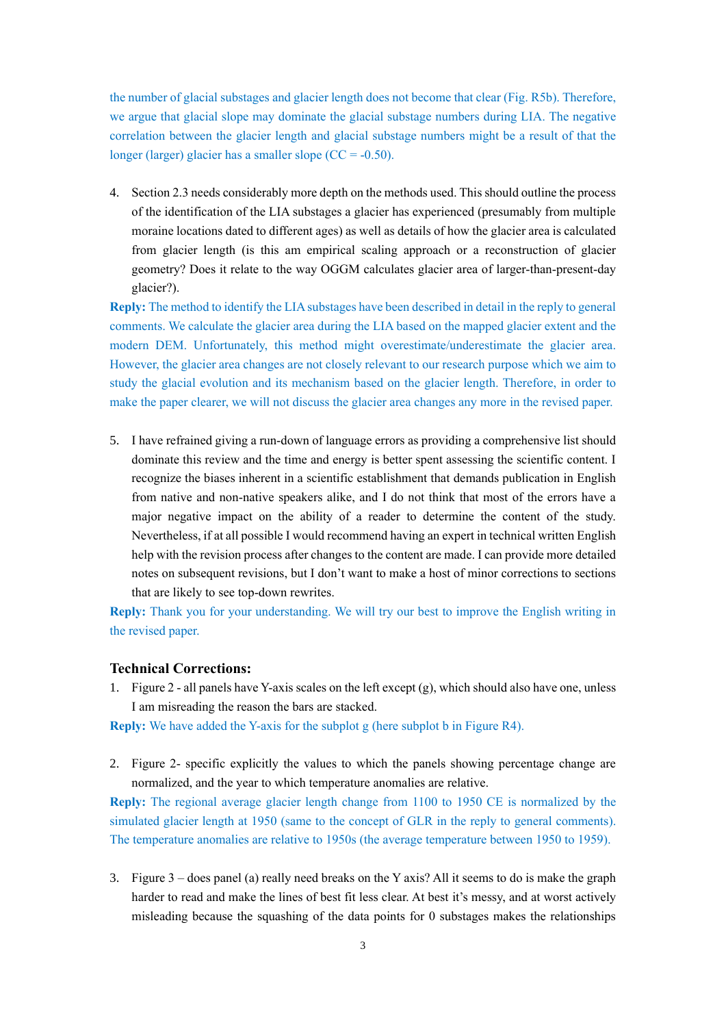the number of glacial substages and glacier length does not become that clear (Fig. R5b). Therefore, we argue that glacial slope may dominate the glacial substage numbers during LIA. The negative correlation between the glacier length and glacial substage numbers might be a result of that the longer (larger) glacier has a smaller slope  $(CC = -0.50)$ .

4. Section 2.3 needs considerably more depth on the methods used. This should outline the process of the identification of the LIA substages a glacier has experienced (presumably from multiple moraine locations dated to different ages) as well as details of how the glacier area is calculated from glacier length (is this am empirical scaling approach or a reconstruction of glacier geometry? Does it relate to the way OGGM calculates glacier area of larger-than-present-day glacier?).

**Reply:** The method to identify the LIA substages have been described in detail in the reply to general comments. We calculate the glacier area during the LIA based on the mapped glacier extent and the modern DEM. Unfortunately, this method might overestimate/underestimate the glacier area. However, the glacier area changes are not closely relevant to our research purpose which we aim to study the glacial evolution and its mechanism based on the glacier length. Therefore, in order to make the paper clearer, we will not discuss the glacier area changes any more in the revised paper.

5. I have refrained giving a run-down of language errors as providing a comprehensive list should dominate this review and the time and energy is better spent assessing the scientific content. I recognize the biases inherent in a scientific establishment that demands publication in English from native and non-native speakers alike, and I do not think that most of the errors have a major negative impact on the ability of a reader to determine the content of the study. Nevertheless, if at all possible I would recommend having an expert in technical written English help with the revision process after changes to the content are made. I can provide more detailed notes on subsequent revisions, but I don't want to make a host of minor corrections to sections that are likely to see top-down rewrites.

**Reply:** Thank you for your understanding. We will try our best to improve the English writing in the revised paper.

## **Technical Corrections:**

1. Figure 2 - all panels have Y-axis scales on the left except (g), which should also have one, unless I am misreading the reason the bars are stacked.

**Reply:** We have added the Y-axis for the subplot g (here subplot b in Figure R4).

2. Figure 2- specific explicitly the values to which the panels showing percentage change are normalized, and the year to which temperature anomalies are relative.

**Reply:** The regional average glacier length change from 1100 to 1950 CE is normalized by the simulated glacier length at 1950 (same to the concept of GLR in the reply to general comments). The temperature anomalies are relative to 1950s (the average temperature between 1950 to 1959).

3. Figure 3 – does panel (a) really need breaks on the Y axis? All it seems to do is make the graph harder to read and make the lines of best fit less clear. At best it's messy, and at worst actively misleading because the squashing of the data points for 0 substages makes the relationships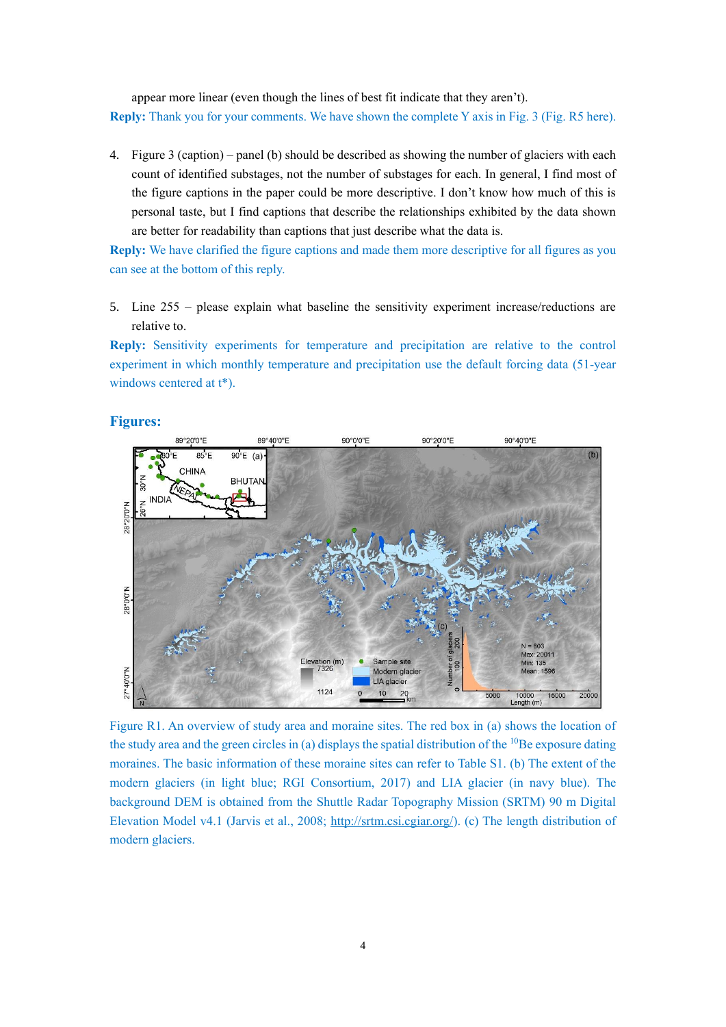appear more linear (even though the lines of best fit indicate that they aren't). **Reply:** Thank you for your comments. We have shown the complete Y axis in Fig. 3 (Fig. R5 here).

4. Figure 3 (caption) – panel (b) should be described as showing the number of glaciers with each count of identified substages, not the number of substages for each. In general, I find most of the figure captions in the paper could be more descriptive. I don't know how much of this is personal taste, but I find captions that describe the relationships exhibited by the data shown are better for readability than captions that just describe what the data is.

**Reply:** We have clarified the figure captions and made them more descriptive for all figures as you can see at the bottom of this reply.

5. Line 255 – please explain what baseline the sensitivity experiment increase/reductions are relative to.

**Reply:** Sensitivity experiments for temperature and precipitation are relative to the control experiment in which monthly temperature and precipitation use the default forcing data (51-year windows centered at  $t^*$ ).

# **Figures:**



Figure R1. An overview of study area and moraine sites. The red box in (a) shows the location of the study area and the green circles in (a) displays the spatial distribution of the  $^{10}$ Be exposure dating moraines. The basic information of these moraine sites can refer to Table S1. (b) The extent of the modern glaciers (in light blue; RGI Consortium, 2017) and LIA glacier (in navy blue). The background DEM is obtained from the Shuttle Radar Topography Mission (SRTM) 90 m Digital Elevation Model v4.1 (Jarvis et al., 2008; [http://srtm.csi.cgiar.org/\)](http://srtm.csi.cgiar.org/). (c) The length distribution of modern glaciers.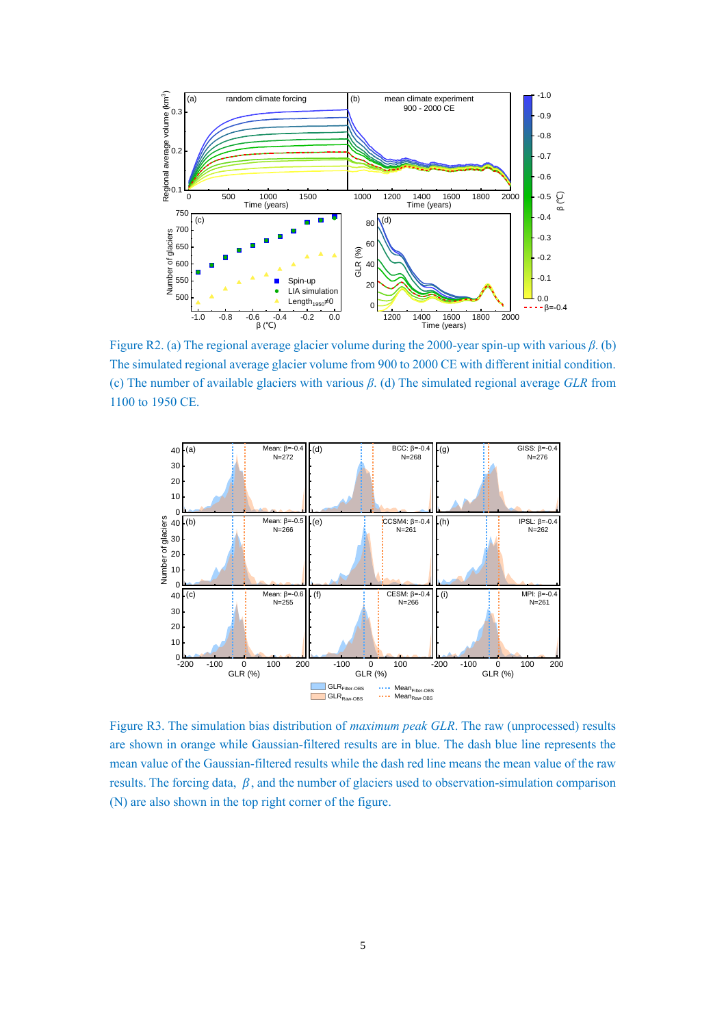

Figure R2. (a) The regional average glacier volume during the 2000-year spin-up with various *β*. (b) 0.0 The simulated regional average glacier volume from 900 to 2000 CE with different initial condition. (c) The number of available glaciers with various  $\beta$ . (d) The simulated regional average *GLR* from 1100 to 1950 CE.



Figure R3. The simulation bias distribution of *maximum peak GLR*. The raw (unprocessed) results are shown in orange while Gaussian-filtered results are in blue. The dash blue line represents the mean value of the Gaussian-filtered results while the dash red line means the mean value of the raw results. The forcing data,  $\beta$ , and the number of glaciers used to observation-simulation comparison (N) are also shown in the top right corner of the figure.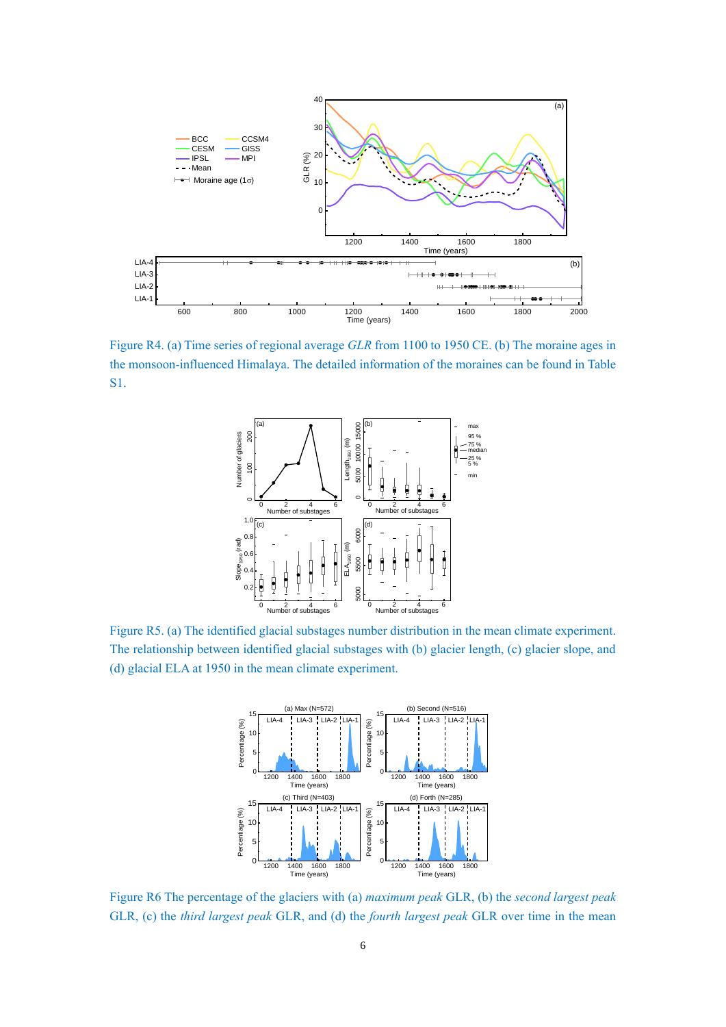

Figure R4. (a) Time series of regional average *GLR* from 1100 to 1950 CE. (b) The moraine ages in the monsoon-influenced Himalaya. The detailed information of the moraines can be found in Table S1.



Figure R5. (a) The identified glacial substages number distribution in the mean climate experiment. The relationship between identified glacial substages with (b) glacier length, (c) glacier slope, and (d) glacial ELA at 1950 in the mean climate experiment.



Figure R6 The percentage of the glaciers with (a) *maximum peak* GLR, (b) the *second largest peak* GLR, (c) the *third largest peak* GLR, and (d) the *fourth largest peak* GLR over time in the mean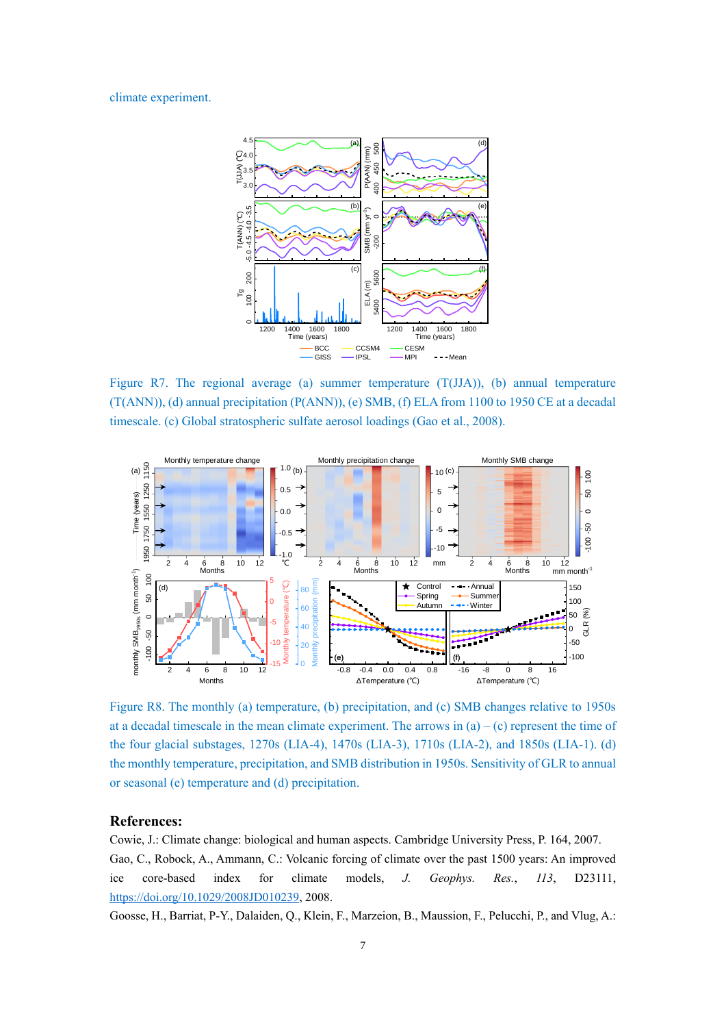### climate experiment.



Figure R7. The regional average (a) summer temperature  $(T(JJA))$ , (b) annual temperature (T(ANN)), (d) annual precipitation (P(ANN)), (e) SMB, (f) ELA from 1100 to 1950 CE at a decadal timescale. (c) Global stratospheric sulfate aerosol loadings (Gao et al., 2008).



Figure R8. The monthly (a) temperature, (b) precipitation, and (c) SMB changes relative to 1950s at a decadal timescale in the mean climate experiment. The arrows in  $(a) - (c)$  represent the time of the four glacial substages, 1270s (LIA-4), 1470s (LIA-3), 1710s (LIA-2), and 1850s (LIA-1). (d) the monthly temperature, precipitation, and SMB distribution in 1950s. Sensitivity of GLR to annual or seasonal (e) temperature and (d) precipitation.

# **References:**

Cowie, J.: Climate change: biological and human aspects. Cambridge University Press, P. 164, 2007.

Gao, C., Robock, A., Ammann, C.: Volcanic forcing of climate over the past 1500 years: An improved ice core-based index for climate models, *J. Geophys. Res.*, *113*, D23111, [https://doi.org/10.1029/2008JD010239,](https://doi.org/10.1029/2008JD010239) 2008.

Goosse, H., Barriat, P-Y., Dalaiden, Q., Klein, F., Marzeion, B., Maussion, F., Pelucchi, P., and Vlug, A.: